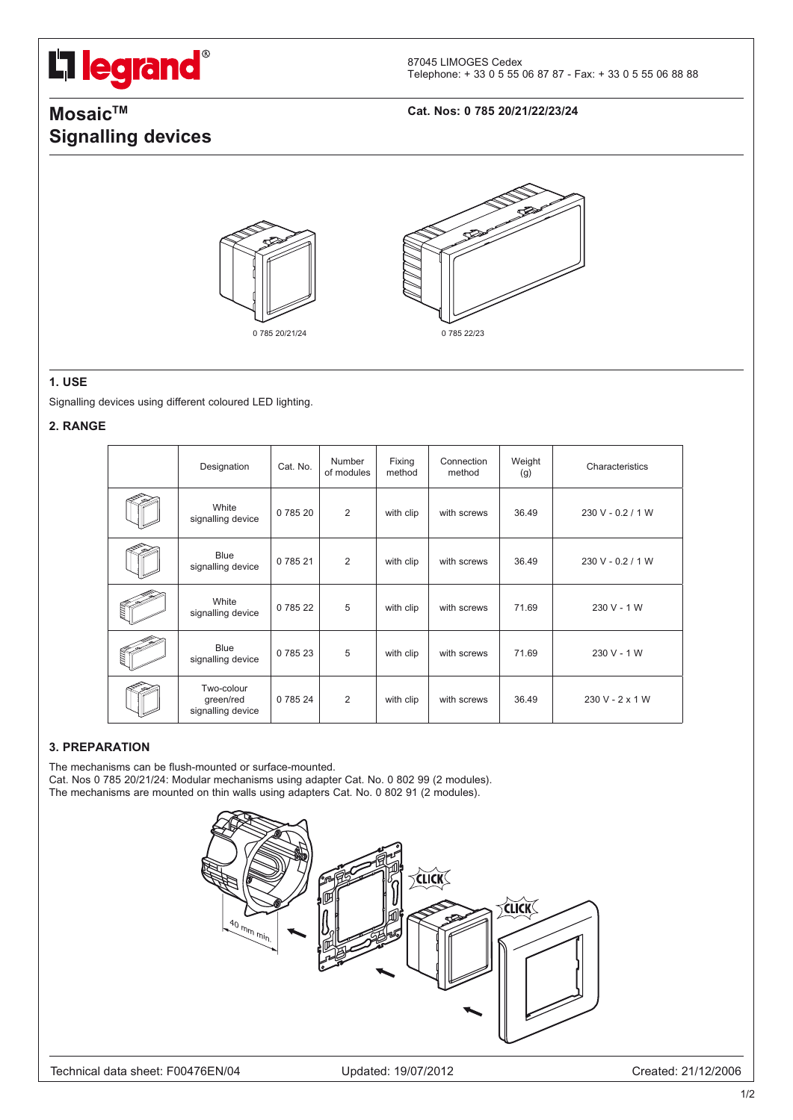# L'i legrand®

87045 LIMOGES Cedex Telephone: + 33 0 5 55 06 87 87 - Fax: + 33 0 5 55 06 88 88

# **MosaicTM Cat. Nos: 0 785 20/21/22/23/24 Signalling devices**





#### **1. USE**

Signalling devices using different coloured LED lighting.

#### **2. RANGE**

| Designation                                  | Cat. No. | Number<br>of modules | Fixing<br>method | Connection<br>method | Weight<br>(g) | Characteristics   |
|----------------------------------------------|----------|----------------------|------------------|----------------------|---------------|-------------------|
| White<br>signalling device                   | 0 785 20 | 2                    | with clip        | with screws          | 36.49         | 230 V - 0.2 / 1 W |
| <b>Blue</b><br>signalling device             | 0 785 21 | 2                    | with clip        | with screws          | 36.49         | 230 V - 0.2 / 1 W |
| White<br>signalling device                   | 0 785 22 | 5                    | with clip        | with screws          | 71.69         | 230 V - 1 W       |
| <b>Blue</b><br>signalling device             | 0 785 23 | 5                    | with clip        | with screws          | 71.69         | 230 V - 1 W       |
| Two-colour<br>green/red<br>signalling device | 0 785 24 | 2                    | with clip        | with screws          | 36.49         | $230 V - 2 x 1 W$ |

### **3. PREPARATION**

The mechanisms can be flush-mounted or surface-mounted. Cat. Nos 0 785 20/21/24: Modular mechanisms using adapter Cat. No. 0 802 99 (2 modules). The mechanisms are mounted on thin walls using adapters Cat. No. 0 802 91 (2 modules).